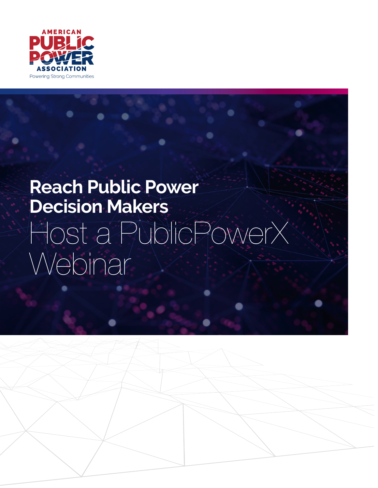

# **Reach Public Power Decision Makers** Host a PublicPowerX Webinar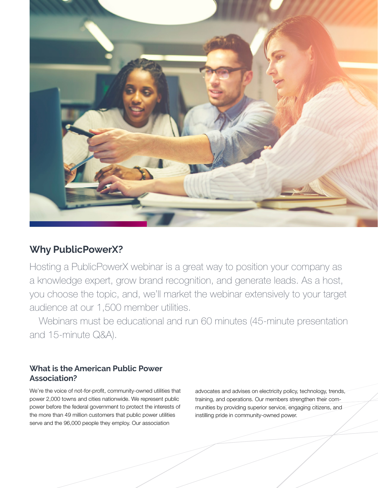

### **Why PublicPowerX?**

Hosting a PublicPowerX webinar is a great way to position your company as a knowledge expert, grow brand recognition, and generate leads. As a host, you choose the topic, and, we'll market the webinar extensively to your target audience at our 1,500 member utilities.

Webinars must be educational and run 60 minutes (45-minute presentation and 15-minute Q&A).

### **What is the American Public Power Association?**

We're the voice of not-for-profit, community-owned utilities that power 2,000 towns and cities nationwide. We represent public power before the federal government to protect the interests of the more than 49 million customers that public power utilities serve and the 96,000 people they employ. Our association

advocates and advises on electricity policy, technology, trends, training, and operations. Our members strengthen their communities by providing superior service, engaging citizens, and instilling pride in community-owned power.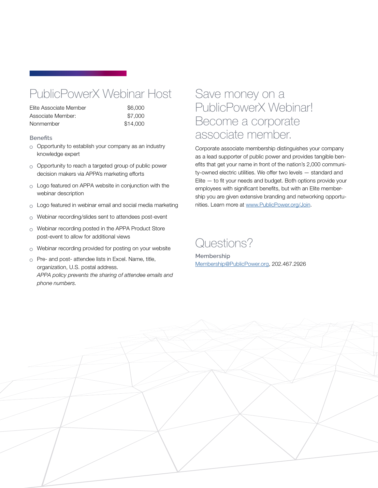## PublicPowerX Webinar Host

| Elite Associate Member | \$6,000  |
|------------------------|----------|
| Associate Member:      | \$7,000  |
| Nonmember              | \$14,000 |

### **Benefits**

- $\circ$  Opportunity to establish your company as an industry knowledge expert
- $\circ$  Opportunity to reach a targeted group of public power decision makers via APPA's marketing efforts
- $\circ$  Logo featured on APPA website in conjunction with the webinar description
- $\circ$  Logo featured in webinar email and social media marketing
- $\circ$  Webinar recording/slides sent to attendees post-event
- $\circ$  Webinar recording posted in the APPA Product Store post-event to allow for additional views
- $\circ$  Webinar recording provided for posting on your website
- $\circ$  Pre- and post- attendee lists in Excel. Name, title, organization, U.S. postal address. *APPA policy prevents the sharing of attendee emails and phone numbers.*

## Save money on a PublicPowerX Webinar! Become a corporate associate member.

Corporate associate membership distinguishes your company as a lead supporter of public power and provides tangible benefits that get your name in front of the nation's 2,000 community-owned electric utilities. We offer two levels — standard and Elite — to fit your needs and budget. Both options provide your employees with significant benefits, but with an Elite membership you are given extensive branding and networking opportunities. Learn more at [www.PublicPower.org/Join.](https://www.publicpower.org/about/join)

## Questions?

**Membership** [Membership@PublicPower.org,](mailto://Membership@PublicPower.org) 202.467.2926